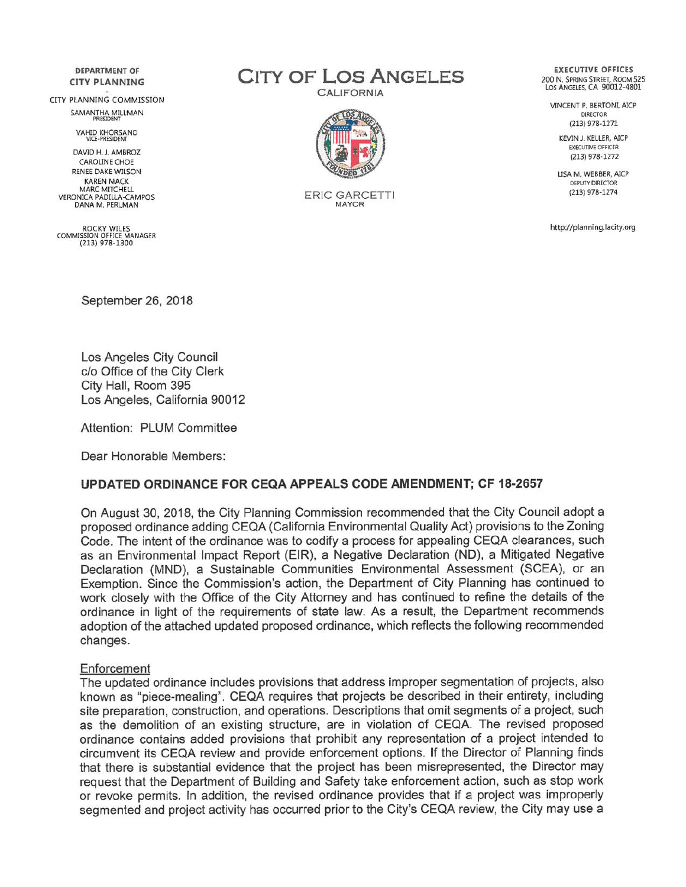**DEPARTMENT OF CITY PLANNING** 

CITY PLANNING COMMISSION SAMANTHA MILLMAN

VAHID KHORSAND<br>VICE-PRESIDENT

DAVID H. J. AMBROZ **CAROLINE CHOE** RENEE DAKE WILSON **KAREN MACK** MARC MITCHELL **VERONICA PADILLA-CAMPOS** DANA M. PERLMAN

ROCKY WILES<br>COMMISSION OFFICE MANAGER  $(213)$  978-1300

**CITY OF LOS ANGELES** 

**CALIFORNIA** 



**ERIC GARCETTI** MAYOR

**EXECUTIVE OFFICES** 200 N. SPRING STREET, ROOM 525<br>LOS ANGELES, CA 90012-4801

VINCENT P. BERTONI, AICP **DIRECTOR** (213) 978-1271

> KEVIN J. KELLER, AICP **EXECUTIVE OFFICER**  $(213)$  978-1272

LISA M. WEBBER, AICP **DEPUTY DIRECTOR** (213) 978-1274

http://planning.lacity.org

September 26, 2018

Los Angeles City Council c/o Office of the City Clerk City Hall, Room 395 Los Angeles, California 90012

Attention: PLUM Committee

Dear Honorable Members:

## **UPDATED ORDINANCE FOR CEQA APPEALS CODE AMENDMENT; CF 18-2657**

On August 30, 2018, the City Planning Commission recommended that the City Council adopt a proposed ordinance adding CEQA (California Environmental Quality Act) provisions to the Zoning Code. The intent of the ordinance was to codify a process for appealing CEQA clearances, such as an Environmental Impact Report (EIR), a Negative Declaration (ND), a Mitigated Negative Declaration (MND), a Sustainable Communities Environmental Assessment (SCEA), or an Exemption. Since the Commission's action, the Department of City Planning has continued to work closely with the Office of the City Attorney and has continued to refine the details of the ordinance in light of the requirements of state law. As a result, the Department recommends adoption of the attached updated proposed ordinance, which reflects the following recommended changes.

## Enforcement

The updated ordinance includes provisions that address improper segmentation of projects, also known as "piece-mealing". CEQA requires that projects be described in their entirety, including site preparation, construction, and operations. Descriptions that omit segments of a project, such as the demolition of an existing structure, are in violation of CEQA. The revised proposed ordinance contains added provisions that prohibit any representation of a project intended to circumvent its CEQA review and provide enforcement options. If the Director of Planning finds that there is substantial evidence that the project has been misrepresented, the Director may request that the Department of Building and Safety take enforcement action, such as stop work or revoke permits. In addition, the revised ordinance provides that if a project was improperly segmented and project activity has occurred prior to the City's CEQA review, the City may use a